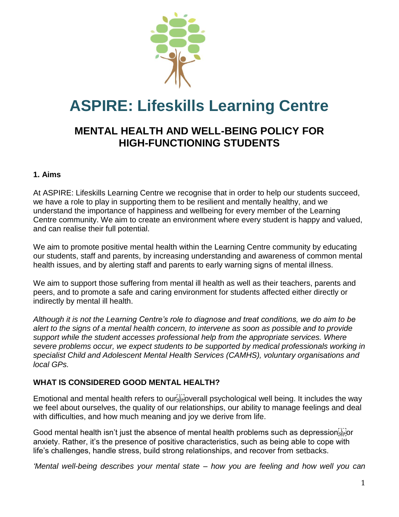

# **ASPIRE: Lifeskills Learning Centre**

# **MENTAL HEALTH AND WELL-BEING POLICY FOR HIGH-FUNCTIONING STUDENTS**

#### **1. Aims**

At ASPIRE: Lifeskills Learning Centre we recognise that in order to help our students succeed, we have a role to play in supporting them to be resilient and mentally healthy, and we understand the importance of happiness and wellbeing for every member of the Learning Centre community. We aim to create an environment where every student is happy and valued, and can realise their full potential.

We aim to promote positive mental health within the Learning Centre community by educating our students, staff and parents, by increasing understanding and awareness of common mental health issues, and by alerting staff and parents to early warning signs of mental illness.

We aim to support those suffering from mental ill health as well as their teachers, parents and peers, and to promote a safe and caring environment for students affected either directly or indirectly by mental ill health.

*Although it is not the Learning Centre's role to diagnose and treat conditions, we do aim to be alert to the signs of a mental health concern, to intervene as soon as possible and to provide support while the student accesses professional help from the appropriate services. Where severe problems occur, we expect students to be supported by medical professionals working in specialist Child and Adolescent Mental Health Services (CAMHS), voluntary organisations and local GPs.* 

# **WHAT IS CONSIDERED GOOD MENTAL HEALTH?**

Emotional and mental health refers to our  $\vec{f}$  overall psychological well being. It includes the way we feel about ourselves, the quality of our relationships, our ability to manage feelings and deal with difficulties, and how much meaning and joy we derive from life.

Good mental health isn't just the absence of mental health problems such as depression  $\frac{1}{5}$ anxiety. Rather, it's the presence of positive characteristics, such as being able to cope with life's challenges, handle stress, build strong relationships, and recover from setbacks.

*'Mental well-being describes your mental state – how you are feeling and how well you can*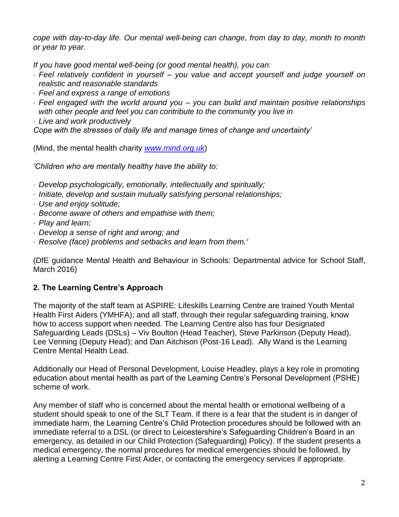*cope with day-to-day life. Our mental well-being can change, from day to day, month to month or year to year.*

*If you have good mental well-being (or good mental health), you can:*

- *Feel relatively confident in yourself – you value and accept yourself and judge yourself on realistic and reasonable standards*
- *Feel and express a range of emotions*
- *Feel engaged with the world around you – you can build and maintain positive relationships with other people and feel you can contribute to the community you live in*
- *Live and work productively*

*Cope with the stresses of daily life and manage times of change and uncertainty'* 

(Mind, the mental health charity *[www.mind.org.uk](http://www.mind.org.uk/)*)

*'Children who are mentally healthy have the ability to:*

- *Develop psychologically, emotionally, intellectually and spiritually;*
- *Initiate, develop and sustain mutually satisfying personal relationships;*
- *Use and enjoy solitude;*
- *Become aware of others and empathise with them;*
- *Play and learn;*
- *Develop a sense of right and wrong; and*
- *Resolve (face) problems and setbacks and learn from them.'*

(DfE guidance Mental Health and Behaviour in Schools: Departmental advice for School Staff, March 2016)

### **2. The Learning Centre's Approach**

The majority of the staff team at ASPIRE: Lifeskills Learning Centre are trained Youth Mental Health First Aiders (YMHFA); and all staff, through their regular safeguarding training, know how to access support when needed. The Learning Centre also has four Designated Safeguarding Leads (DSLs) – Viv Boulton (Head Teacher), Steve Parkinson (Deputy Head), Lee Venning (Deputy Head); and Dan Aitchison (Post-16 Lead). Ally Wand is the Learning Centre Mental Health Lead.

Additionally our Head of Personal Development, Louise Headley, plays a key role in promoting education about mental health as part of the Learning Centre's Personal Development (PSHE) scheme of work.

Any member of staff who is concerned about the mental health or emotional wellbeing of a student should speak to one of the SLT Team. If there is a fear that the student is in danger of immediate harm, the Learning Centre's Child Protection procedures should be followed with an immediate referral to a DSL (or direct to Leicestershire's Safeguarding Children's Board in an emergency, as detailed in our Child Protection (Safeguarding) Policy). If the student presents a medical emergency, the normal procedures for medical emergencies should be followed, by alerting a Learning Centre First Aider, or contacting the emergency services if appropriate.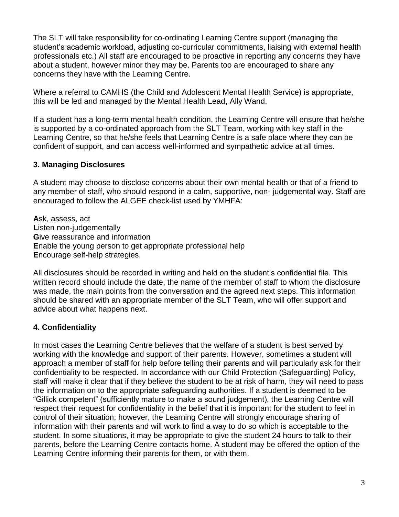The SLT will take responsibility for co-ordinating Learning Centre support (managing the student's academic workload, adjusting co-curricular commitments, liaising with external health professionals etc.) All staff are encouraged to be proactive in reporting any concerns they have about a student, however minor they may be. Parents too are encouraged to share any concerns they have with the Learning Centre.

Where a referral to CAMHS (the Child and Adolescent Mental Health Service) is appropriate, this will be led and managed by the Mental Health Lead, Ally Wand.

If a student has a long-term mental health condition, the Learning Centre will ensure that he/she is supported by a co-ordinated approach from the SLT Team, working with key staff in the Learning Centre, so that he/she feels that Learning Centre is a safe place where they can be confident of support, and can access well-informed and sympathetic advice at all times.

### **3. Managing Disclosures**

A student may choose to disclose concerns about their own mental health or that of a friend to any member of staff, who should respond in a calm, supportive, non- judgemental way. Staff are encouraged to follow the ALGEE check-list used by YMHFA:

**A**sk, assess, act **L**isten non-judgementally **G**ive reassurance and information **E**nable the young person to get appropriate professional help **E**ncourage self-help strategies.

All disclosures should be recorded in writing and held on the student's confidential file. This written record should include the date, the name of the member of staff to whom the disclosure was made, the main points from the conversation and the agreed next steps. This information should be shared with an appropriate member of the SLT Team, who will offer support and advice about what happens next.

# **4. Confidentiality**

In most cases the Learning Centre believes that the welfare of a student is best served by working with the knowledge and support of their parents. However, sometimes a student will approach a member of staff for help before telling their parents and will particularly ask for their confidentiality to be respected. In accordance with our Child Protection (Safeguarding) Policy, staff will make it clear that if they believe the student to be at risk of harm, they will need to pass the information on to the appropriate safeguarding authorities. If a student is deemed to be "Gillick competent" (sufficiently mature to make a sound judgement), the Learning Centre will respect their request for confidentiality in the belief that it is important for the student to feel in control of their situation; however, the Learning Centre will strongly encourage sharing of information with their parents and will work to find a way to do so which is acceptable to the student. In some situations, it may be appropriate to give the student 24 hours to talk to their parents, before the Learning Centre contacts home. A student may be offered the option of the Learning Centre informing their parents for them, or with them.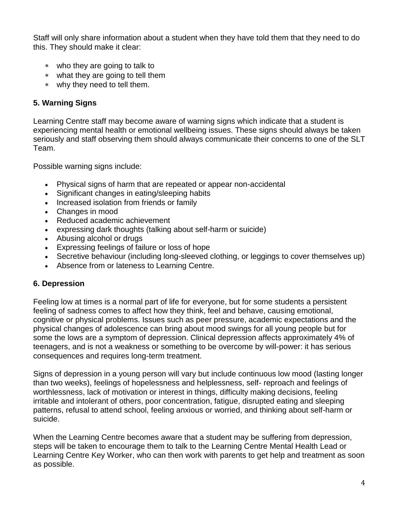Staff will only share information about a student when they have told them that they need to do this. They should make it clear:

- who they are going to talk to
- what they are going to tell them
- why they need to tell them.

# **5. Warning Signs**

Learning Centre staff may become aware of warning signs which indicate that a student is experiencing mental health or emotional wellbeing issues. These signs should always be taken seriously and staff observing them should always communicate their concerns to one of the SLT Team.

Possible warning signs include:

- Physical signs of harm that are repeated or appear non-accidental
- Significant changes in eating/sleeping habits
- Increased isolation from friends or family
- Changes in mood
- Reduced academic achievement
- expressing dark thoughts (talking about self-harm or suicide)
- Abusing alcohol or drugs
- Expressing feelings of failure or loss of hope
- Secretive behaviour (including long-sleeved clothing, or leggings to cover themselves up)
- Absence from or lateness to Learning Centre.

# **6. Depression**

Feeling low at times is a normal part of life for everyone, but for some students a persistent feeling of sadness comes to affect how they think, feel and behave, causing emotional, cognitive or physical problems. Issues such as peer pressure, academic expectations and the physical changes of adolescence can bring about mood swings for all young people but for some the lows are a symptom of depression. Clinical depression affects approximately 4% of teenagers, and is not a weakness or something to be overcome by will-power: it has serious consequences and requires long-term treatment.

Signs of depression in a young person will vary but include continuous low mood (lasting longer than two weeks), feelings of hopelessness and helplessness, self- reproach and feelings of worthlessness, lack of motivation or interest in things, difficulty making decisions, feeling irritable and intolerant of others, poor concentration, fatigue, disrupted eating and sleeping patterns, refusal to attend school, feeling anxious or worried, and thinking about self-harm or suicide.

When the Learning Centre becomes aware that a student may be suffering from depression, steps will be taken to encourage them to talk to the Learning Centre Mental Health Lead or Learning Centre Key Worker, who can then work with parents to get help and treatment as soon as possible.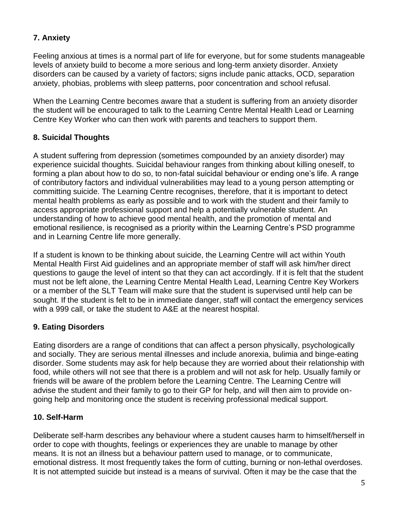# **7. Anxiety**

Feeling anxious at times is a normal part of life for everyone, but for some students manageable levels of anxiety build to become a more serious and long-term anxiety disorder. Anxiety disorders can be caused by a variety of factors; signs include panic attacks, OCD, separation anxiety, phobias, problems with sleep patterns, poor concentration and school refusal.

When the Learning Centre becomes aware that a student is suffering from an anxiety disorder the student will be encouraged to talk to the Learning Centre Mental Health Lead or Learning Centre Key Worker who can then work with parents and teachers to support them.

## **8. Suicidal Thoughts**

A student suffering from depression (sometimes compounded by an anxiety disorder) may experience suicidal thoughts. Suicidal behaviour ranges from thinking about killing oneself, to forming a plan about how to do so, to non-fatal suicidal behaviour or ending one's life. A range of contributory factors and individual vulnerabilities may lead to a young person attempting or committing suicide. The Learning Centre recognises, therefore, that it is important to detect mental health problems as early as possible and to work with the student and their family to access appropriate professional support and help a potentially vulnerable student. An understanding of how to achieve good mental health, and the promotion of mental and emotional resilience, is recognised as a priority within the Learning Centre's PSD programme and in Learning Centre life more generally.

If a student is known to be thinking about suicide, the Learning Centre will act within Youth Mental Health First Aid guidelines and an appropriate member of staff will ask him/her direct questions to gauge the level of intent so that they can act accordingly. If it is felt that the student must not be left alone, the Learning Centre Mental Health Lead, Learning Centre Key Workers or a member of the SLT Team will make sure that the student is supervised until help can be sought. If the student is felt to be in immediate danger, staff will contact the emergency services with a 999 call, or take the student to A&E at the nearest hospital.

### **9. Eating Disorders**

Eating disorders are a range of conditions that can affect a person physically, psychologically and socially. They are serious mental illnesses and include anorexia, bulimia and binge-eating disorder. Some students may ask for help because they are worried about their relationship with food, while others will not see that there is a problem and will not ask for help. Usually family or friends will be aware of the problem before the Learning Centre. The Learning Centre will advise the student and their family to go to their GP for help, and will then aim to provide ongoing help and monitoring once the student is receiving professional medical support.

# **10. Self-Harm**

Deliberate self-harm describes any behaviour where a student causes harm to himself/herself in order to cope with thoughts, feelings or experiences they are unable to manage by other means. It is not an illness but a behaviour pattern used to manage, or to communicate, emotional distress. It most frequently takes the form of cutting, burning or non-lethal overdoses. It is not attempted suicide but instead is a means of survival. Often it may be the case that the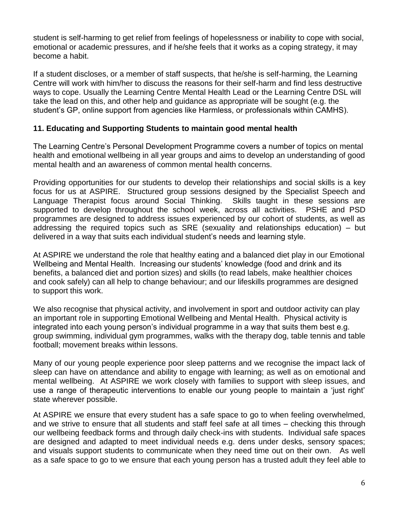student is self-harming to get relief from feelings of hopelessness or inability to cope with social, emotional or academic pressures, and if he/she feels that it works as a coping strategy, it may become a habit.

If a student discloses, or a member of staff suspects, that he/she is self-harming, the Learning Centre will work with him/her to discuss the reasons for their self-harm and find less destructive ways to cope. Usually the Learning Centre Mental Health Lead or the Learning Centre DSL will take the lead on this, and other help and guidance as appropriate will be sought (e.g. the student's GP, online support from agencies like Harmless, or professionals within CAMHS).

#### **11. Educating and Supporting Students to maintain good mental health**

The Learning Centre's Personal Development Programme covers a number of topics on mental health and emotional wellbeing in all year groups and aims to develop an understanding of good mental health and an awareness of common mental health concerns.

Providing opportunities for our students to develop their relationships and social skills is a key focus for us at ASPIRE. Structured group sessions designed by the Specialist Speech and Language Therapist focus around Social Thinking. Skills taught in these sessions are supported to develop throughout the school week, across all activities. PSHE and PSD programmes are designed to address issues experienced by our cohort of students, as well as addressing the required topics such as SRE (sexuality and relationships education) – but delivered in a way that suits each individual student's needs and learning style.

At ASPIRE we understand the role that healthy eating and a balanced diet play in our Emotional Wellbeing and Mental Health. Increasing our students' knowledge (food and drink and its benefits, a balanced diet and portion sizes) and skills (to read labels, make healthier choices and cook safely) can all help to change behaviour; and our lifeskills programmes are designed to support this work.

We also recognise that physical activity, and involvement in sport and outdoor activity can play an important role in supporting Emotional Wellbeing and Mental Health. Physical activity is integrated into each young person's individual programme in a way that suits them best e.g. group swimming, individual gym programmes, walks with the therapy dog, table tennis and table football; movement breaks within lessons.

Many of our young people experience poor sleep patterns and we recognise the impact lack of sleep can have on attendance and ability to engage with learning; as well as on emotional and mental wellbeing. At ASPIRE we work closely with families to support with sleep issues, and use a range of therapeutic interventions to enable our young people to maintain a 'just right' state wherever possible.

At ASPIRE we ensure that every student has a safe space to go to when feeling overwhelmed, and we strive to ensure that all students and staff feel safe at all times – checking this through our wellbeing feedback forms and through daily check-ins with students. Individual safe spaces are designed and adapted to meet individual needs e.g. dens under desks, sensory spaces; and visuals support students to communicate when they need time out on their own. As well as a safe space to go to we ensure that each young person has a trusted adult they feel able to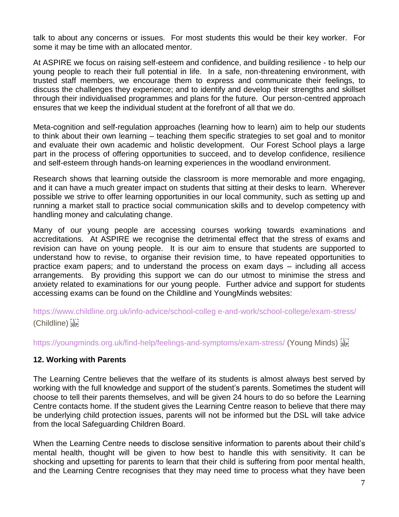talk to about any concerns or issues. For most students this would be their key worker. For some it may be time with an allocated mentor.

At ASPIRE we focus on raising self-esteem and confidence, and building resilience - to help our young people to reach their full potential in life. In a safe, non-threatening environment, with trusted staff members, we encourage them to express and communicate their feelings, to discuss the challenges they experience; and to identify and develop their strengths and skillset through their individualised programmes and plans for the future. Our person-centred approach ensures that we keep the individual student at the forefront of all that we do.

Meta-cognition and self-regulation approaches (learning how to learn) aim to help our students to think about their own learning – teaching them specific strategies to set goal and to monitor and evaluate their own academic and holistic development. Our Forest School plays a large part in the process of offering opportunities to succeed, and to develop confidence, resilience and self-esteem through hands-on learning experiences in the woodland environment.

Research shows that learning outside the classroom is more memorable and more engaging, and it can have a much greater impact on students that sitting at their desks to learn. Wherever possible we strive to offer learning opportunities in our local community, such as setting up and running a market stall to practice social communication skills and to develop competency with handling money and calculating change.

Many of our young people are accessing courses working towards examinations and accreditations. At ASPIRE we recognise the detrimental effect that the stress of exams and revision can have on young people. It is our aim to ensure that students are supported to understand how to revise, to organise their revision time, to have repeated opportunities to practice exam papers; and to understand the process on exam days – including all access arrangements. By providing this support we can do our utmost to minimise the stress and anxiety related to examinations for our young people. Further advice and support for students accessing exams can be found on the Childline and YoungMinds websites:

https://www.childline.org.uk/info-advice/school-colleg e-and-work/school-college/exam-stress/ (Childline)

https://youngminds.org.uk/find-help/feelings-and-symptoms/exam-stress/ (Young Minds)  $\frac{1}{2}$ 

### **12. Working with Parents**

The Learning Centre believes that the welfare of its students is almost always best served by working with the full knowledge and support of the student's parents. Sometimes the student will choose to tell their parents themselves, and will be given 24 hours to do so before the Learning Centre contacts home. If the student gives the Learning Centre reason to believe that there may be underlying child protection issues, parents will not be informed but the DSL will take advice from the local Safeguarding Children Board.

When the Learning Centre needs to disclose sensitive information to parents about their child's mental health, thought will be given to how best to handle this with sensitivity. It can be shocking and upsetting for parents to learn that their child is suffering from poor mental health, and the Learning Centre recognises that they may need time to process what they have been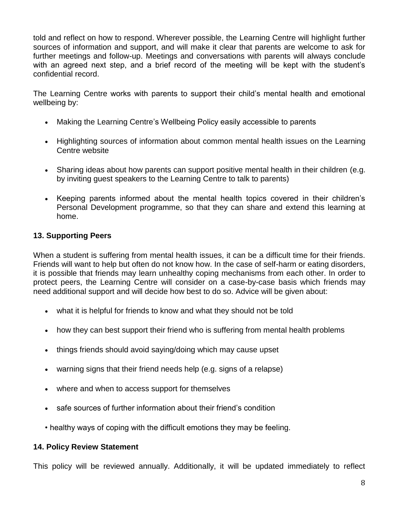told and reflect on how to respond. Wherever possible, the Learning Centre will highlight further sources of information and support, and will make it clear that parents are welcome to ask for further meetings and follow-up. Meetings and conversations with parents will always conclude with an agreed next step, and a brief record of the meeting will be kept with the student's confidential record.

The Learning Centre works with parents to support their child's mental health and emotional wellbeing by:

- Making the Learning Centre's Wellbeing Policy easily accessible to parents
- Highlighting sources of information about common mental health issues on the Learning Centre website
- Sharing ideas about how parents can support positive mental health in their children (e.g. by inviting guest speakers to the Learning Centre to talk to parents)
- Keeping parents informed about the mental health topics covered in their children's Personal Development programme, so that they can share and extend this learning at home.

### **13. Supporting Peers**

When a student is suffering from mental health issues, it can be a difficult time for their friends. Friends will want to help but often do not know how. In the case of self-harm or eating disorders, it is possible that friends may learn unhealthy coping mechanisms from each other. In order to protect peers, the Learning Centre will consider on a case-by-case basis which friends may need additional support and will decide how best to do so. Advice will be given about:

- what it is helpful for friends to know and what they should not be told
- how they can best support their friend who is suffering from mental health problems
- things friends should avoid saying/doing which may cause upset
- warning signs that their friend needs help (e.g. signs of a relapse)
- where and when to access support for themselves
- safe sources of further information about their friend's condition
- healthy ways of coping with the difficult emotions they may be feeling.

### **14. Policy Review Statement**

This policy will be reviewed annually. Additionally, it will be updated immediately to reflect